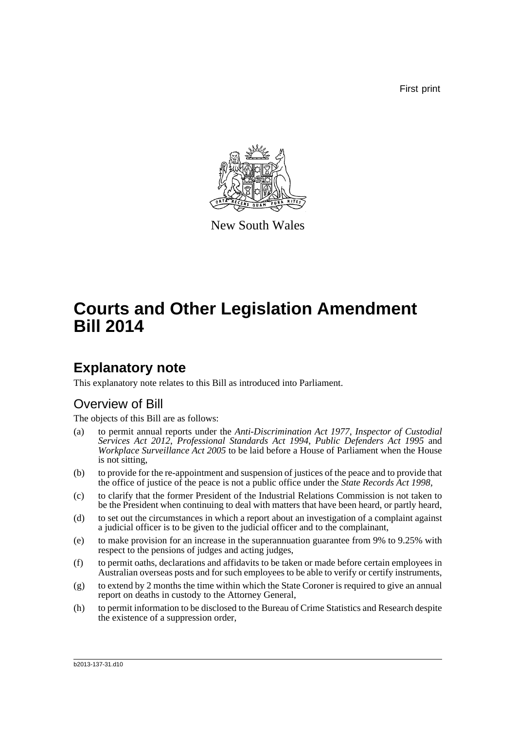First print



New South Wales

# **Courts and Other Legislation Amendment Bill 2014**

### **Explanatory note**

This explanatory note relates to this Bill as introduced into Parliament.

#### Overview of Bill

The objects of this Bill are as follows:

- (a) to permit annual reports under the *Anti-Discrimination Act 1977*, *Inspector of Custodial Services Act 2012*, *Professional Standards Act 1994*, *Public Defenders Act 1995* and *Workplace Surveillance Act 2005* to be laid before a House of Parliament when the House is not sitting,
- (b) to provide for the re-appointment and suspension of justices of the peace and to provide that the office of justice of the peace is not a public office under the *State Records Act 1998*,
- (c) to clarify that the former President of the Industrial Relations Commission is not taken to be the President when continuing to deal with matters that have been heard, or partly heard,
- (d) to set out the circumstances in which a report about an investigation of a complaint against a judicial officer is to be given to the judicial officer and to the complainant,
- (e) to make provision for an increase in the superannuation guarantee from 9% to 9.25% with respect to the pensions of judges and acting judges,
- (f) to permit oaths, declarations and affidavits to be taken or made before certain employees in Australian overseas posts and for such employees to be able to verify or certify instruments,
- (g) to extend by 2 months the time within which the State Coroner is required to give an annual report on deaths in custody to the Attorney General,
- (h) to permit information to be disclosed to the Bureau of Crime Statistics and Research despite the existence of a suppression order,

b2013-137-31.d10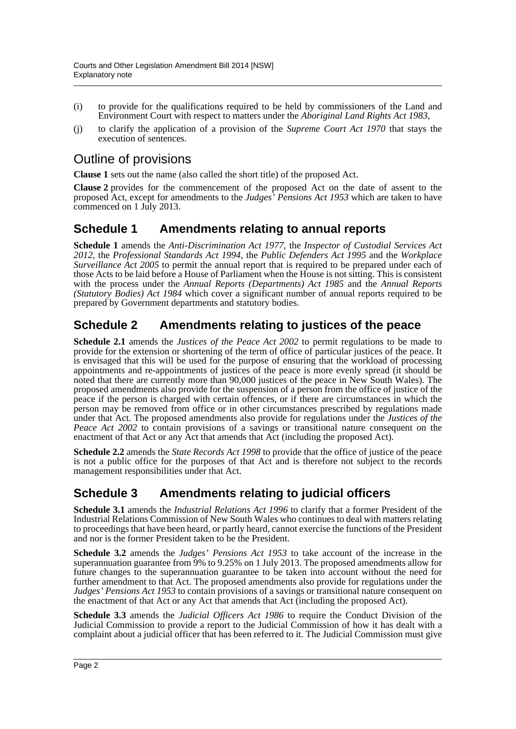- (i) to provide for the qualifications required to be held by commissioners of the Land and Environment Court with respect to matters under the *Aboriginal Land Rights Act 1983*,
- (j) to clarify the application of a provision of the *Supreme Court Act 1970* that stays the execution of sentences.

### Outline of provisions

**Clause 1** sets out the name (also called the short title) of the proposed Act.

**Clause 2** provides for the commencement of the proposed Act on the date of assent to the proposed Act, except for amendments to the *Judges' Pensions Act 1953* which are taken to have commenced on 1 July 2013.

#### **Schedule 1 Amendments relating to annual reports**

**Schedule 1** amends the *Anti-Discrimination Act 1977*, the *Inspector of Custodial Services Act 2012*, the *Professional Standards Act 1994*, the *Public Defenders Act 1995* and the *Workplace Surveillance Act 2005* to permit the annual report that is required to be prepared under each of those Acts to be laid before a House of Parliament when the House is not sitting. This is consistent with the process under the *Annual Reports (Departments) Act 1985* and the *Annual Reports (Statutory Bodies) Act 1984* which cover a significant number of annual reports required to be prepared by Government departments and statutory bodies.

#### **Schedule 2 Amendments relating to justices of the peace**

**Schedule 2.1** amends the *Justices of the Peace Act 2002* to permit regulations to be made to provide for the extension or shortening of the term of office of particular justices of the peace. It is envisaged that this will be used for the purpose of ensuring that the workload of processing appointments and re-appointments of justices of the peace is more evenly spread (it should be noted that there are currently more than 90,000 justices of the peace in New South Wales). The proposed amendments also provide for the suspension of a person from the office of justice of the peace if the person is charged with certain offences, or if there are circumstances in which the person may be removed from office or in other circumstances prescribed by regulations made under that Act. The proposed amendments also provide for regulations under the *Justices of the Peace Act 2002* to contain provisions of a savings or transitional nature consequent on the enactment of that Act or any Act that amends that Act (including the proposed Act).

**Schedule 2.2** amends the *State Records Act 1998* to provide that the office of justice of the peace is not a public office for the purposes of that Act and is therefore not subject to the records management responsibilities under that Act.

#### **Schedule 3 Amendments relating to judicial officers**

**Schedule 3.1** amends the *Industrial Relations Act 1996* to clarify that a former President of the Industrial Relations Commission of New South Wales who continues to deal with matters relating to proceedings that have been heard, or partly heard, cannot exercise the functions of the President and nor is the former President taken to be the President.

**Schedule 3.2** amends the *Judges' Pensions Act 1953* to take account of the increase in the superannuation guarantee from 9% to 9.25% on 1 July 2013. The proposed amendments allow for future changes to the superannuation guarantee to be taken into account without the need for further amendment to that Act. The proposed amendments also provide for regulations under the *Judges' Pensions Act 1953* to contain provisions of a savings or transitional nature consequent on the enactment of that Act or any Act that amends that Act (including the proposed Act).

**Schedule 3.3** amends the *Judicial Officers Act 1986* to require the Conduct Division of the Judicial Commission to provide a report to the Judicial Commission of how it has dealt with a complaint about a judicial officer that has been referred to it. The Judicial Commission must give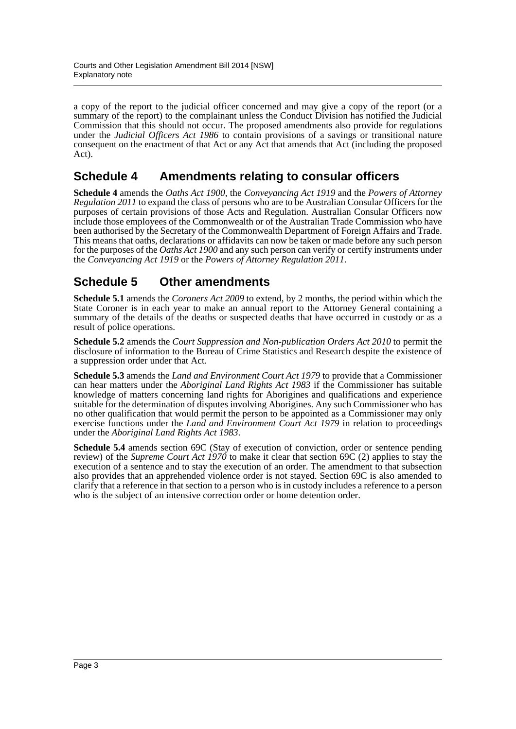a copy of the report to the judicial officer concerned and may give a copy of the report (or a summary of the report) to the complainant unless the Conduct Division has notified the Judicial Commission that this should not occur. The proposed amendments also provide for regulations under the *Judicial Officers Act 1986* to contain provisions of a savings or transitional nature consequent on the enactment of that Act or any Act that amends that Act (including the proposed Act).

#### **Schedule 4 Amendments relating to consular officers**

**Schedule 4** amends the *Oaths Act 1900*, the *Conveyancing Act 1919* and the *Powers of Attorney Regulation 2011* to expand the class of persons who are to be Australian Consular Officers for the purposes of certain provisions of those Acts and Regulation. Australian Consular Officers now include those employees of the Commonwealth or of the Australian Trade Commission who have been authorised by the Secretary of the Commonwealth Department of Foreign Affairs and Trade. This means that oaths, declarations or affidavits can now be taken or made before any such person for the purposes of the *Oaths Act 1900* and any such person can verify or certify instruments under the *Conveyancing Act 1919* or the *Powers of Attorney Regulation 2011*.

#### **Schedule 5 Other amendments**

**Schedule 5.1** amends the *Coroners Act 2009* to extend, by 2 months, the period within which the State Coroner is in each year to make an annual report to the Attorney General containing a summary of the details of the deaths or suspected deaths that have occurred in custody or as a result of police operations.

**Schedule 5.2** amends the *Court Suppression and Non-publication Orders Act 2010* to permit the disclosure of information to the Bureau of Crime Statistics and Research despite the existence of a suppression order under that Act.

**Schedule 5.3** amends the *Land and Environment Court Act 1979* to provide that a Commissioner can hear matters under the *Aboriginal Land Rights Act 1983* if the Commissioner has suitable knowledge of matters concerning land rights for Aborigines and qualifications and experience suitable for the determination of disputes involving Aborigines. Any such Commissioner who has no other qualification that would permit the person to be appointed as a Commissioner may only exercise functions under the *Land and Environment Court Act 1979* in relation to proceedings under the *Aboriginal Land Rights Act 1983*.

**Schedule 5.4** amends section 69C (Stay of execution of conviction, order or sentence pending review) of the *Supreme Court Act 1970* to make it clear that section 69C (2) applies to stay the execution of a sentence and to stay the execution of an order. The amendment to that subsection also provides that an apprehended violence order is not stayed. Section 69C is also amended to clarify that a reference in that section to a person who is in custody includes a reference to a person who is the subject of an intensive correction order or home detention order.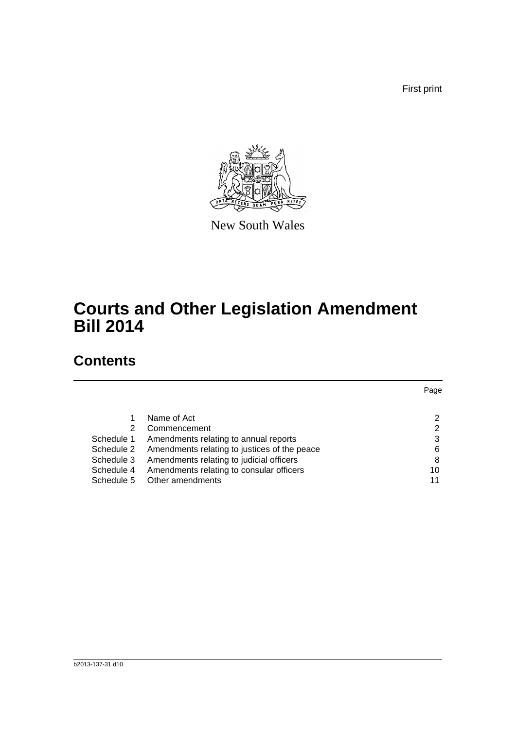First print



New South Wales

## **Courts and Other Legislation Amendment Bill 2014**

### **Contents**

|            |                                              | Page |
|------------|----------------------------------------------|------|
|            |                                              |      |
|            | Name of Act                                  | 2    |
| 2          | Commencement                                 | 2    |
| Schedule 1 | Amendments relating to annual reports        | 3    |
| Schedule 2 | Amendments relating to justices of the peace | 6    |
| Schedule 3 | Amendments relating to judicial officers     | 8    |
| Schedule 4 | Amendments relating to consular officers     | 10   |
| Schedule 5 | Other amendments                             | 11   |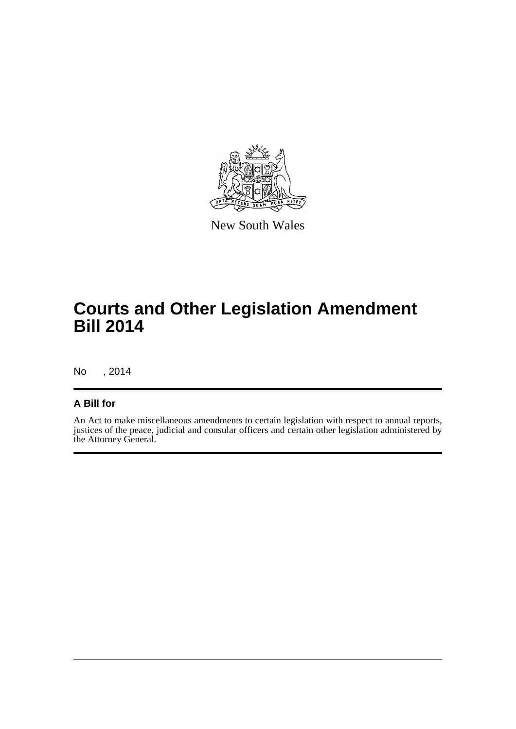

New South Wales

## **Courts and Other Legislation Amendment Bill 2014**

No , 2014

#### **A Bill for**

An Act to make miscellaneous amendments to certain legislation with respect to annual reports, justices of the peace, judicial and consular officers and certain other legislation administered by the Attorney General.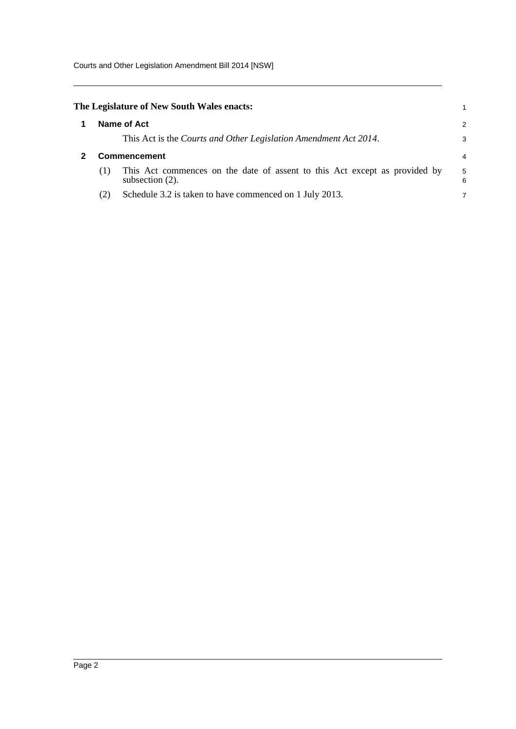Courts and Other Legislation Amendment Bill 2014 [NSW]

<span id="page-5-1"></span><span id="page-5-0"></span>

|     | The Legislature of New South Wales enacts:                                                       | 1      |
|-----|--------------------------------------------------------------------------------------------------|--------|
|     | Name of Act                                                                                      | 2      |
|     | This Act is the Courts and Other Legislation Amendment Act 2014.                                 | 3      |
|     | <b>Commencement</b>                                                                              | 4      |
| (1) | This Act commences on the date of assent to this Act except as provided by<br>subsection $(2)$ . | 5<br>6 |
| (2) | Schedule 3.2 is taken to have commenced on 1 July 2013.                                          | 7      |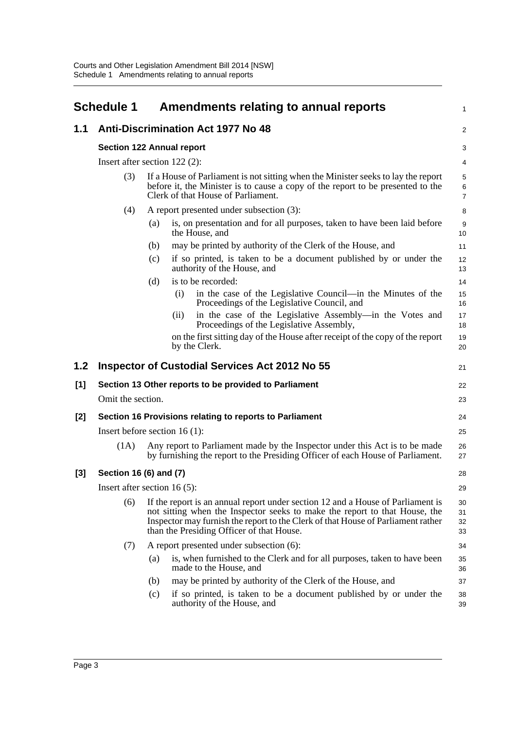<span id="page-6-0"></span>

| <b>Schedule 1</b>                               | Amendments relating to annual reports     |                                                                                                                                                                                                                                                                                                                                                                                 | $\mathbf{1}$                                                                                                                                                                                                                                                                                                                                                                                                                                                                                                                                                                                                                                                                                                                                                                                                                                                                                                                                                                                                                                                                                                                                                                                                                                                                                                                       |  |
|-------------------------------------------------|-------------------------------------------|---------------------------------------------------------------------------------------------------------------------------------------------------------------------------------------------------------------------------------------------------------------------------------------------------------------------------------------------------------------------------------|------------------------------------------------------------------------------------------------------------------------------------------------------------------------------------------------------------------------------------------------------------------------------------------------------------------------------------------------------------------------------------------------------------------------------------------------------------------------------------------------------------------------------------------------------------------------------------------------------------------------------------------------------------------------------------------------------------------------------------------------------------------------------------------------------------------------------------------------------------------------------------------------------------------------------------------------------------------------------------------------------------------------------------------------------------------------------------------------------------------------------------------------------------------------------------------------------------------------------------------------------------------------------------------------------------------------------------|--|
|                                                 |                                           |                                                                                                                                                                                                                                                                                                                                                                                 | 2                                                                                                                                                                                                                                                                                                                                                                                                                                                                                                                                                                                                                                                                                                                                                                                                                                                                                                                                                                                                                                                                                                                                                                                                                                                                                                                                  |  |
|                                                 |                                           |                                                                                                                                                                                                                                                                                                                                                                                 | 3                                                                                                                                                                                                                                                                                                                                                                                                                                                                                                                                                                                                                                                                                                                                                                                                                                                                                                                                                                                                                                                                                                                                                                                                                                                                                                                                  |  |
|                                                 |                                           |                                                                                                                                                                                                                                                                                                                                                                                 | 4                                                                                                                                                                                                                                                                                                                                                                                                                                                                                                                                                                                                                                                                                                                                                                                                                                                                                                                                                                                                                                                                                                                                                                                                                                                                                                                                  |  |
| (3)                                             | Clerk of that House of Parliament.        |                                                                                                                                                                                                                                                                                                                                                                                 | 5<br>$\,6\,$<br>$\overline{7}$                                                                                                                                                                                                                                                                                                                                                                                                                                                                                                                                                                                                                                                                                                                                                                                                                                                                                                                                                                                                                                                                                                                                                                                                                                                                                                     |  |
| A report presented under subsection (3):<br>(4) |                                           |                                                                                                                                                                                                                                                                                                                                                                                 |                                                                                                                                                                                                                                                                                                                                                                                                                                                                                                                                                                                                                                                                                                                                                                                                                                                                                                                                                                                                                                                                                                                                                                                                                                                                                                                                    |  |
|                                                 | (a)<br>the House, and                     |                                                                                                                                                                                                                                                                                                                                                                                 | 9<br>10                                                                                                                                                                                                                                                                                                                                                                                                                                                                                                                                                                                                                                                                                                                                                                                                                                                                                                                                                                                                                                                                                                                                                                                                                                                                                                                            |  |
|                                                 | (b)                                       |                                                                                                                                                                                                                                                                                                                                                                                 | 11                                                                                                                                                                                                                                                                                                                                                                                                                                                                                                                                                                                                                                                                                                                                                                                                                                                                                                                                                                                                                                                                                                                                                                                                                                                                                                                                 |  |
|                                                 | (c)<br>authority of the House, and        |                                                                                                                                                                                                                                                                                                                                                                                 | 12<br>13                                                                                                                                                                                                                                                                                                                                                                                                                                                                                                                                                                                                                                                                                                                                                                                                                                                                                                                                                                                                                                                                                                                                                                                                                                                                                                                           |  |
|                                                 | is to be recorded:<br>(d)                 |                                                                                                                                                                                                                                                                                                                                                                                 | 14                                                                                                                                                                                                                                                                                                                                                                                                                                                                                                                                                                                                                                                                                                                                                                                                                                                                                                                                                                                                                                                                                                                                                                                                                                                                                                                                 |  |
|                                                 | (i)                                       |                                                                                                                                                                                                                                                                                                                                                                                 | 15<br>16                                                                                                                                                                                                                                                                                                                                                                                                                                                                                                                                                                                                                                                                                                                                                                                                                                                                                                                                                                                                                                                                                                                                                                                                                                                                                                                           |  |
|                                                 | (ii)                                      |                                                                                                                                                                                                                                                                                                                                                                                 | 17<br>18                                                                                                                                                                                                                                                                                                                                                                                                                                                                                                                                                                                                                                                                                                                                                                                                                                                                                                                                                                                                                                                                                                                                                                                                                                                                                                                           |  |
|                                                 | by the Clerk.                             |                                                                                                                                                                                                                                                                                                                                                                                 | 19<br>20                                                                                                                                                                                                                                                                                                                                                                                                                                                                                                                                                                                                                                                                                                                                                                                                                                                                                                                                                                                                                                                                                                                                                                                                                                                                                                                           |  |
|                                                 |                                           |                                                                                                                                                                                                                                                                                                                                                                                 | 21                                                                                                                                                                                                                                                                                                                                                                                                                                                                                                                                                                                                                                                                                                                                                                                                                                                                                                                                                                                                                                                                                                                                                                                                                                                                                                                                 |  |
|                                                 |                                           |                                                                                                                                                                                                                                                                                                                                                                                 | 22                                                                                                                                                                                                                                                                                                                                                                                                                                                                                                                                                                                                                                                                                                                                                                                                                                                                                                                                                                                                                                                                                                                                                                                                                                                                                                                                 |  |
|                                                 |                                           |                                                                                                                                                                                                                                                                                                                                                                                 | 23                                                                                                                                                                                                                                                                                                                                                                                                                                                                                                                                                                                                                                                                                                                                                                                                                                                                                                                                                                                                                                                                                                                                                                                                                                                                                                                                 |  |
|                                                 |                                           |                                                                                                                                                                                                                                                                                                                                                                                 | 24                                                                                                                                                                                                                                                                                                                                                                                                                                                                                                                                                                                                                                                                                                                                                                                                                                                                                                                                                                                                                                                                                                                                                                                                                                                                                                                                 |  |
| Insert before section $16(1)$ :                 |                                           |                                                                                                                                                                                                                                                                                                                                                                                 |                                                                                                                                                                                                                                                                                                                                                                                                                                                                                                                                                                                                                                                                                                                                                                                                                                                                                                                                                                                                                                                                                                                                                                                                                                                                                                                                    |  |
| (1A)                                            |                                           |                                                                                                                                                                                                                                                                                                                                                                                 | 26<br>27                                                                                                                                                                                                                                                                                                                                                                                                                                                                                                                                                                                                                                                                                                                                                                                                                                                                                                                                                                                                                                                                                                                                                                                                                                                                                                                           |  |
|                                                 |                                           |                                                                                                                                                                                                                                                                                                                                                                                 | 28                                                                                                                                                                                                                                                                                                                                                                                                                                                                                                                                                                                                                                                                                                                                                                                                                                                                                                                                                                                                                                                                                                                                                                                                                                                                                                                                 |  |
|                                                 |                                           |                                                                                                                                                                                                                                                                                                                                                                                 | 29                                                                                                                                                                                                                                                                                                                                                                                                                                                                                                                                                                                                                                                                                                                                                                                                                                                                                                                                                                                                                                                                                                                                                                                                                                                                                                                                 |  |
| (6)                                             | than the Presiding Officer of that House. |                                                                                                                                                                                                                                                                                                                                                                                 | 30<br>31<br>32<br>33                                                                                                                                                                                                                                                                                                                                                                                                                                                                                                                                                                                                                                                                                                                                                                                                                                                                                                                                                                                                                                                                                                                                                                                                                                                                                                               |  |
| (7)                                             | A report presented under subsection (6):  |                                                                                                                                                                                                                                                                                                                                                                                 | 34                                                                                                                                                                                                                                                                                                                                                                                                                                                                                                                                                                                                                                                                                                                                                                                                                                                                                                                                                                                                                                                                                                                                                                                                                                                                                                                                 |  |
|                                                 | (a)<br>made to the House, and             |                                                                                                                                                                                                                                                                                                                                                                                 | 35<br>36                                                                                                                                                                                                                                                                                                                                                                                                                                                                                                                                                                                                                                                                                                                                                                                                                                                                                                                                                                                                                                                                                                                                                                                                                                                                                                                           |  |
|                                                 | (b)                                       |                                                                                                                                                                                                                                                                                                                                                                                 | 37                                                                                                                                                                                                                                                                                                                                                                                                                                                                                                                                                                                                                                                                                                                                                                                                                                                                                                                                                                                                                                                                                                                                                                                                                                                                                                                                 |  |
|                                                 | (c)<br>authority of the House, and        |                                                                                                                                                                                                                                                                                                                                                                                 | 38<br>39                                                                                                                                                                                                                                                                                                                                                                                                                                                                                                                                                                                                                                                                                                                                                                                                                                                                                                                                                                                                                                                                                                                                                                                                                                                                                                                           |  |
|                                                 |                                           | <b>Anti-Discrimination Act 1977 No 48</b><br><b>Section 122 Annual report</b><br>Insert after section $122(2)$ :<br><b>Inspector of Custodial Services Act 2012 No 55</b><br>Section 13 Other reports to be provided to Parliament<br>Omit the section.<br>Section 16 Provisions relating to reports to Parliament<br>Section 16 (6) and (7)<br>Insert after section 16 $(5)$ : | If a House of Parliament is not sitting when the Minister seeks to lay the report<br>before it, the Minister is to cause a copy of the report to be presented to the<br>is, on presentation and for all purposes, taken to have been laid before<br>may be printed by authority of the Clerk of the House, and<br>if so printed, is taken to be a document published by or under the<br>in the case of the Legislative Council—in the Minutes of the<br>Proceedings of the Legislative Council, and<br>in the case of the Legislative Assembly—in the Votes and<br>Proceedings of the Legislative Assembly,<br>on the first sitting day of the House after receipt of the copy of the report<br>Any report to Parliament made by the Inspector under this Act is to be made<br>by furnishing the report to the Presiding Officer of each House of Parliament.<br>If the report is an annual report under section 12 and a House of Parliament is<br>not sitting when the Inspector seeks to make the report to that House, the<br>Inspector may furnish the report to the Clerk of that House of Parliament rather<br>is, when furnished to the Clerk and for all purposes, taken to have been<br>may be printed by authority of the Clerk of the House, and<br>if so printed, is taken to be a document published by or under the |  |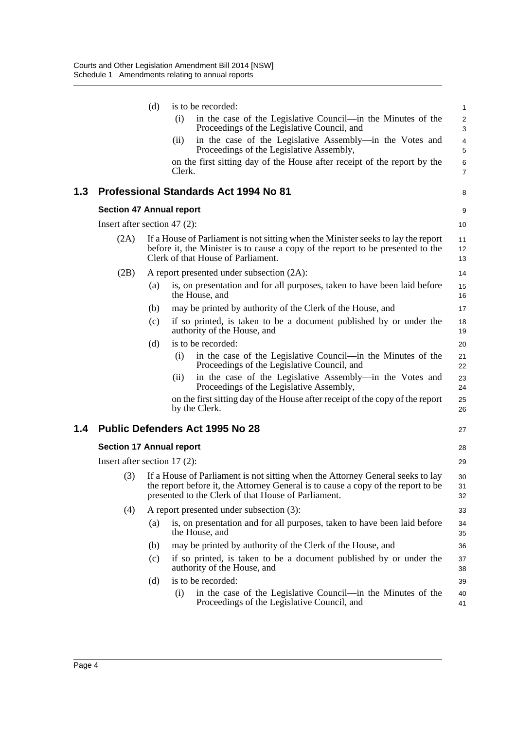|     |                                 | (d) | is to be recorded:                                                                                                                                                                                                         | $\mathbf{1}$                 |
|-----|---------------------------------|-----|----------------------------------------------------------------------------------------------------------------------------------------------------------------------------------------------------------------------------|------------------------------|
|     |                                 |     | (i)<br>in the case of the Legislative Council—in the Minutes of the<br>Proceedings of the Legislative Council, and                                                                                                         | $\boldsymbol{2}$<br>3        |
|     |                                 |     | in the case of the Legislative Assembly—in the Votes and<br>(i)<br>Proceedings of the Legislative Assembly,                                                                                                                | $\overline{\mathbf{4}}$<br>5 |
|     |                                 |     | on the first sitting day of the House after receipt of the report by the<br>Clerk.                                                                                                                                         | 6<br>$\overline{7}$          |
| 1.3 |                                 |     | <b>Professional Standards Act 1994 No 81</b>                                                                                                                                                                               | 8                            |
|     | <b>Section 47 Annual report</b> |     |                                                                                                                                                                                                                            | 9                            |
|     | Insert after section 47 $(2)$ : |     |                                                                                                                                                                                                                            | 10                           |
|     | (2A)                            |     | If a House of Parliament is not sitting when the Minister seeks to lay the report<br>before it, the Minister is to cause a copy of the report to be presented to the<br>Clerk of that House of Parliament.                 | 11<br>12<br>13               |
|     | (2B)                            |     | A report presented under subsection (2A):                                                                                                                                                                                  | 14                           |
|     |                                 | (a) | is, on presentation and for all purposes, taken to have been laid before<br>the House, and                                                                                                                                 | 15<br>16                     |
|     |                                 | (b) | may be printed by authority of the Clerk of the House, and                                                                                                                                                                 | 17                           |
|     |                                 | (c) | if so printed, is taken to be a document published by or under the<br>authority of the House, and                                                                                                                          | 18<br>19                     |
|     |                                 | (d) | is to be recorded:                                                                                                                                                                                                         | 20                           |
|     |                                 |     | in the case of the Legislative Council—in the Minutes of the<br>(i)<br>Proceedings of the Legislative Council, and                                                                                                         | 21<br>22                     |
|     |                                 |     | in the case of the Legislative Assembly—in the Votes and<br>(ii)<br>Proceedings of the Legislative Assembly,                                                                                                               | 23<br>24                     |
|     |                                 |     | on the first sitting day of the House after receipt of the copy of the report<br>by the Clerk.                                                                                                                             | 25<br>26                     |
| 1.4 |                                 |     | <b>Public Defenders Act 1995 No 28</b>                                                                                                                                                                                     | 27                           |
|     | <b>Section 17 Annual report</b> |     |                                                                                                                                                                                                                            | 28                           |
|     | Insert after section $17(2)$ :  |     |                                                                                                                                                                                                                            | 29                           |
|     | (3)                             |     | If a House of Parliament is not sitting when the Attorney General seeks to lay<br>the report before it, the Attorney General is to cause a copy of the report to be<br>presented to the Clerk of that House of Parliament. | 30<br>31<br>32               |
|     | (4)                             |     | A report presented under subsection (3):                                                                                                                                                                                   | 33                           |
|     |                                 | (a) | is, on presentation and for all purposes, taken to have been laid before<br>the House, and                                                                                                                                 | 34<br>35                     |
|     |                                 | (b) | may be printed by authority of the Clerk of the House, and                                                                                                                                                                 | 36                           |
|     |                                 | (c) | if so printed, is taken to be a document published by or under the<br>authority of the House, and                                                                                                                          | 37<br>38                     |
|     |                                 | (d) | is to be recorded:                                                                                                                                                                                                         | 39                           |
|     |                                 |     | in the case of the Legislative Council—in the Minutes of the<br>(i)<br>Proceedings of the Legislative Council, and                                                                                                         | 40<br>41                     |
|     |                                 |     |                                                                                                                                                                                                                            |                              |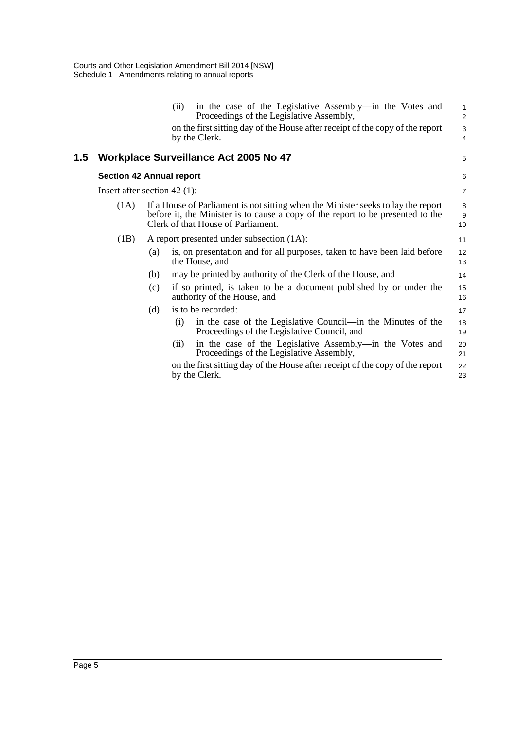|     |                                 |     | in the case of the Legislative Assembly—in the Votes and<br>(ii)<br>Proceedings of the Legislative Assembly,                                                                                               | $\mathbf{1}$<br>2 |
|-----|---------------------------------|-----|------------------------------------------------------------------------------------------------------------------------------------------------------------------------------------------------------------|-------------------|
|     |                                 |     | on the first sitting day of the House after receipt of the copy of the report                                                                                                                              | 3                 |
|     |                                 |     | by the Clerk.                                                                                                                                                                                              | $\overline{4}$    |
| 1.5 |                                 |     | <b>Workplace Surveillance Act 2005 No 47</b>                                                                                                                                                               | 5                 |
|     | <b>Section 42 Annual report</b> |     |                                                                                                                                                                                                            | 6                 |
|     | Insert after section 42 $(1)$ : |     |                                                                                                                                                                                                            | $\overline{7}$    |
|     | (1A)                            |     | If a House of Parliament is not sitting when the Minister seeks to lay the report<br>before it, the Minister is to cause a copy of the report to be presented to the<br>Clerk of that House of Parliament. | 8<br>9<br>10      |
|     | (1B)                            |     | A report presented under subsection (1A):                                                                                                                                                                  | 11                |
|     |                                 | (a) | is, on presentation and for all purposes, taken to have been laid before<br>the House, and                                                                                                                 | 12<br>13          |
|     |                                 | (b) | may be printed by authority of the Clerk of the House, and                                                                                                                                                 | 14                |
|     |                                 | (c) | if so printed, is taken to be a document published by or under the<br>authority of the House, and                                                                                                          | 15<br>16          |
|     |                                 | (d) | is to be recorded:                                                                                                                                                                                         | 17                |
|     |                                 |     | in the case of the Legislative Council—in the Minutes of the<br>(i)<br>Proceedings of the Legislative Council, and                                                                                         | 18<br>19          |
|     |                                 |     | in the case of the Legislative Assembly—in the Votes and<br>(ii)<br>Proceedings of the Legislative Assembly,                                                                                               | 20<br>21          |
|     |                                 |     | on the first sitting day of the House after receipt of the copy of the report<br>by the Clerk.                                                                                                             | 22<br>23          |
|     |                                 |     |                                                                                                                                                                                                            |                   |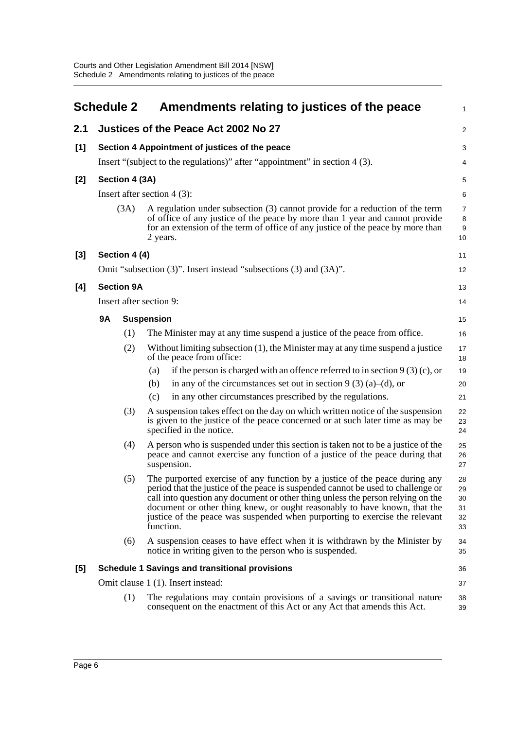<span id="page-9-0"></span>

|       | <b>Schedule 2</b> |                   | Amendments relating to justices of the peace                                                                                                                                                                                                                                                                                                                                                                                | 1                                |
|-------|-------------------|-------------------|-----------------------------------------------------------------------------------------------------------------------------------------------------------------------------------------------------------------------------------------------------------------------------------------------------------------------------------------------------------------------------------------------------------------------------|----------------------------------|
| 2.1   |                   |                   | Justices of the Peace Act 2002 No 27                                                                                                                                                                                                                                                                                                                                                                                        | $\overline{a}$                   |
| $[1]$ |                   |                   | Section 4 Appointment of justices of the peace                                                                                                                                                                                                                                                                                                                                                                              | 3                                |
|       |                   |                   | Insert "(subject to the regulations)" after "appointment" in section 4 (3).                                                                                                                                                                                                                                                                                                                                                 | 4                                |
| [2]   |                   | Section 4 (3A)    |                                                                                                                                                                                                                                                                                                                                                                                                                             | 5                                |
|       |                   |                   | Insert after section $4(3)$ :                                                                                                                                                                                                                                                                                                                                                                                               | 6                                |
|       |                   | (3A)              | A regulation under subsection (3) cannot provide for a reduction of the term<br>of office of any justice of the peace by more than 1 year and cannot provide<br>for an extension of the term of office of any justice of the peace by more than<br>2 years.                                                                                                                                                                 | 7<br>8<br>9<br>10                |
| [3]   |                   | Section 4 (4)     |                                                                                                                                                                                                                                                                                                                                                                                                                             | 11                               |
|       |                   |                   | Omit "subsection (3)". Insert instead "subsections (3) and (3A)".                                                                                                                                                                                                                                                                                                                                                           | 12                               |
| [4]   |                   | <b>Section 9A</b> |                                                                                                                                                                                                                                                                                                                                                                                                                             | 13                               |
|       |                   |                   | Insert after section 9:                                                                                                                                                                                                                                                                                                                                                                                                     | 14                               |
|       | <b>9A</b>         |                   | <b>Suspension</b>                                                                                                                                                                                                                                                                                                                                                                                                           | 15                               |
|       |                   | (1)               | The Minister may at any time suspend a justice of the peace from office.                                                                                                                                                                                                                                                                                                                                                    | 16                               |
|       |                   | (2)               | Without limiting subsection (1), the Minister may at any time suspend a justice<br>of the peace from office:                                                                                                                                                                                                                                                                                                                | 17<br>18                         |
|       |                   |                   | if the person is charged with an offence referred to in section $9(3)(c)$ , or<br>(a)                                                                                                                                                                                                                                                                                                                                       | 19                               |
|       |                   |                   | in any of the circumstances set out in section $9(3)(a)$ –(d), or<br>(b)                                                                                                                                                                                                                                                                                                                                                    | 20                               |
|       |                   |                   | in any other circumstances prescribed by the regulations.<br>(c)                                                                                                                                                                                                                                                                                                                                                            | 21                               |
|       |                   | (3)               | A suspension takes effect on the day on which written notice of the suspension<br>is given to the justice of the peace concerned or at such later time as may be<br>specified in the notice.                                                                                                                                                                                                                                | 22<br>23<br>24                   |
|       |                   | (4)               | A person who is suspended under this section is taken not to be a justice of the<br>peace and cannot exercise any function of a justice of the peace during that<br>suspension.                                                                                                                                                                                                                                             | 25<br>26<br>27                   |
|       |                   | (5)               | The purported exercise of any function by a justice of the peace during any<br>period that the justice of the peace is suspended cannot be used to challenge or<br>call into question any document or other thing unless the person relying on the<br>document or other thing knew, or ought reasonably to have known, that the<br>justice of the peace was suspended when purporting to exercise the relevant<br>function. | 28<br>29<br>30<br>31<br>32<br>33 |
|       |                   | (6)               | A suspension ceases to have effect when it is withdrawn by the Minister by<br>notice in writing given to the person who is suspended.                                                                                                                                                                                                                                                                                       | 34<br>35                         |
| [5]   |                   |                   | <b>Schedule 1 Savings and transitional provisions</b>                                                                                                                                                                                                                                                                                                                                                                       | 36                               |
|       |                   |                   | Omit clause 1 (1). Insert instead:                                                                                                                                                                                                                                                                                                                                                                                          | 37                               |
|       |                   | (1)               | The regulations may contain provisions of a savings or transitional nature<br>consequent on the enactment of this Act or any Act that amends this Act.                                                                                                                                                                                                                                                                      | 38<br>39                         |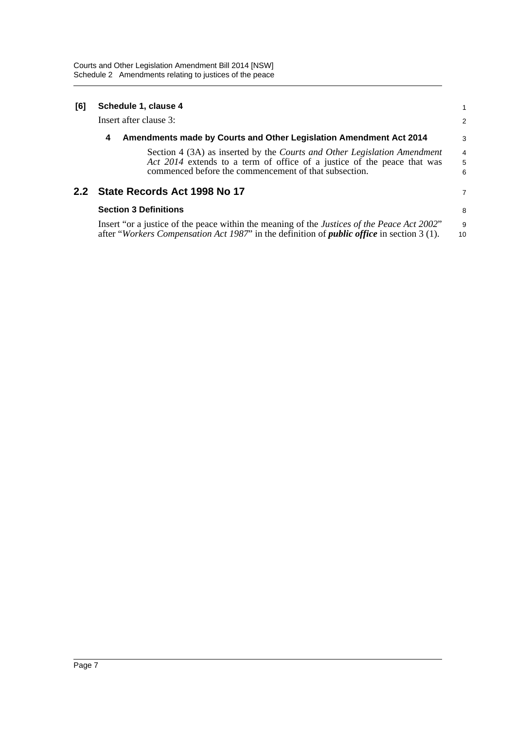| [6] | Schedule 1, clause 4         |                                                                                                                                                                                                                     |             |  |
|-----|------------------------------|---------------------------------------------------------------------------------------------------------------------------------------------------------------------------------------------------------------------|-------------|--|
|     | Insert after clause 3:       |                                                                                                                                                                                                                     | 2           |  |
|     | 4                            | Amendments made by Courts and Other Legislation Amendment Act 2014                                                                                                                                                  | 3           |  |
|     |                              | Section 4 (3A) as inserted by the <i>Courts and Other Legislation Amendment</i><br>Act 2014 extends to a term of office of a justice of the peace that was<br>commenced before the commencement of that subsection. | 4<br>5<br>6 |  |
|     |                              | 2.2 State Records Act 1998 No 17                                                                                                                                                                                    | 7           |  |
|     | <b>Section 3 Definitions</b> |                                                                                                                                                                                                                     | 8           |  |
|     |                              | Insert "or a justice of the peace within the meaning of the Justices of the Peace Act 2002"<br>after "Workers Compensation Act 1987" in the definition of <i>public office</i> in section 3 (1).                    | 9<br>10     |  |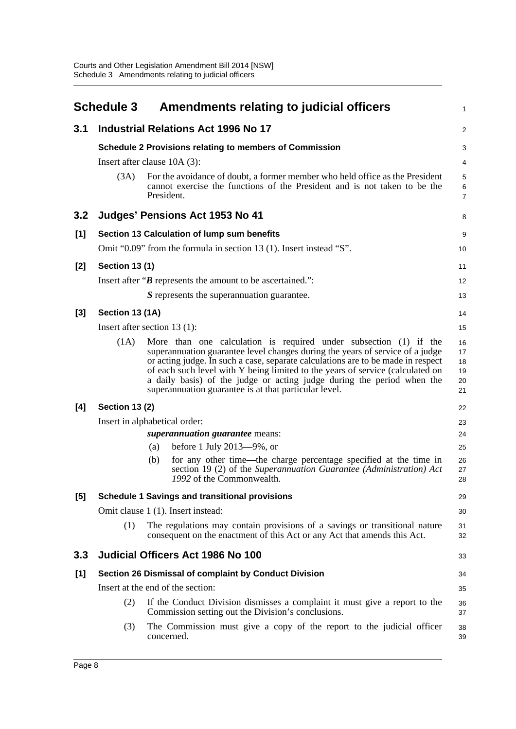<span id="page-11-0"></span>

|       | <b>Schedule 3</b>     | Amendments relating to judicial officers                                                                                                                                                                                                                                                                                                                                                                                                                    | 1                                |
|-------|-----------------------|-------------------------------------------------------------------------------------------------------------------------------------------------------------------------------------------------------------------------------------------------------------------------------------------------------------------------------------------------------------------------------------------------------------------------------------------------------------|----------------------------------|
| 3.1   |                       | <b>Industrial Relations Act 1996 No 17</b>                                                                                                                                                                                                                                                                                                                                                                                                                  | $\overline{c}$                   |
|       |                       | <b>Schedule 2 Provisions relating to members of Commission</b>                                                                                                                                                                                                                                                                                                                                                                                              | 3                                |
|       |                       | Insert after clause $10A(3)$ :                                                                                                                                                                                                                                                                                                                                                                                                                              | 4                                |
|       | (3A)                  | For the avoidance of doubt, a former member who held office as the President<br>cannot exercise the functions of the President and is not taken to be the<br>President.                                                                                                                                                                                                                                                                                     | 5<br>6<br>7                      |
| 3.2   |                       | Judges' Pensions Act 1953 No 41                                                                                                                                                                                                                                                                                                                                                                                                                             | 8                                |
| [1]   |                       | Section 13 Calculation of lump sum benefits                                                                                                                                                                                                                                                                                                                                                                                                                 | 9                                |
|       |                       | Omit "0.09" from the formula in section 13 (1). Insert instead "S".                                                                                                                                                                                                                                                                                                                                                                                         | 10                               |
| [2]   | <b>Section 13 (1)</b> |                                                                                                                                                                                                                                                                                                                                                                                                                                                             | 11                               |
|       |                       | Insert after " $\bm{B}$ represents the amount to be ascertained.":                                                                                                                                                                                                                                                                                                                                                                                          | 12                               |
|       |                       | S represents the superannuation guarantee.                                                                                                                                                                                                                                                                                                                                                                                                                  | 13                               |
| [3]   | Section 13 (1A)       |                                                                                                                                                                                                                                                                                                                                                                                                                                                             | 14                               |
|       |                       | Insert after section 13 $(1)$ :                                                                                                                                                                                                                                                                                                                                                                                                                             | 15                               |
|       | (1A)                  | More than one calculation is required under subsection (1) if the<br>superannuation guarantee level changes during the years of service of a judge<br>or acting judge. In such a case, separate calculations are to be made in respect<br>of each such level with Y being limited to the years of service (calculated on<br>a daily basis) of the judge or acting judge during the period when the<br>superannuation guarantee is at that particular level. | 16<br>17<br>18<br>19<br>20<br>21 |
| [4]   | <b>Section 13 (2)</b> |                                                                                                                                                                                                                                                                                                                                                                                                                                                             | 22                               |
|       |                       | Insert in alphabetical order:                                                                                                                                                                                                                                                                                                                                                                                                                               | 23                               |
|       |                       | superannuation guarantee means:                                                                                                                                                                                                                                                                                                                                                                                                                             | 24                               |
|       |                       | before 1 July $2013 - 9\%$ , or<br>(a)<br>(b)<br>for any other time—the charge percentage specified at the time in<br>section 19 (2) of the Superannuation Guarantee (Administration) Act<br>1992 of the Commonwealth.                                                                                                                                                                                                                                      | 25<br>26<br>27<br>28             |
| $[5]$ |                       | <b>Schedule 1 Savings and transitional provisions</b>                                                                                                                                                                                                                                                                                                                                                                                                       | 29                               |
|       |                       | Omit clause 1 (1). Insert instead:                                                                                                                                                                                                                                                                                                                                                                                                                          | 30                               |
|       | (1)                   | The regulations may contain provisions of a savings or transitional nature<br>consequent on the enactment of this Act or any Act that amends this Act.                                                                                                                                                                                                                                                                                                      | 31<br>32                         |
| 3.3   |                       | <b>Judicial Officers Act 1986 No 100</b>                                                                                                                                                                                                                                                                                                                                                                                                                    | 33                               |
| $[1]$ |                       | Section 26 Dismissal of complaint by Conduct Division                                                                                                                                                                                                                                                                                                                                                                                                       | 34                               |
|       |                       | Insert at the end of the section:                                                                                                                                                                                                                                                                                                                                                                                                                           | 35                               |
|       | (2)                   | If the Conduct Division dismisses a complaint it must give a report to the<br>Commission setting out the Division's conclusions.                                                                                                                                                                                                                                                                                                                            | 36<br>37                         |
|       | (3)                   | The Commission must give a copy of the report to the judicial officer<br>concerned.                                                                                                                                                                                                                                                                                                                                                                         | 38<br>39                         |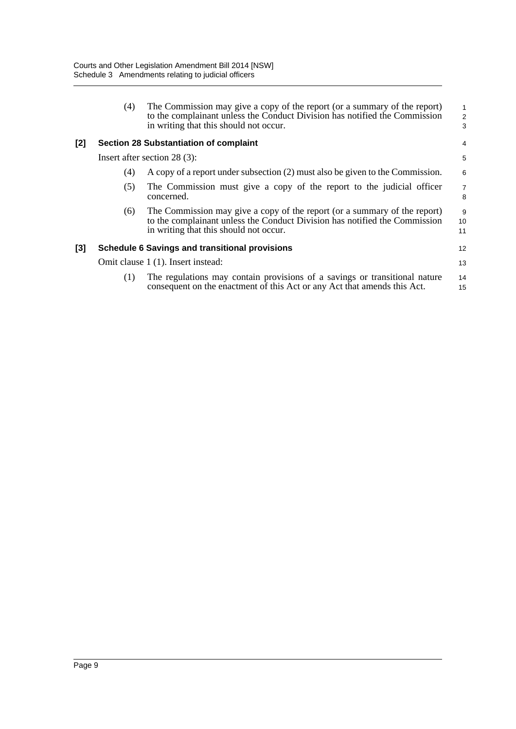|     | (4) | The Commission may give a copy of the report (or a summary of the report)<br>to the complainant unless the Conduct Division has notified the Commission<br>in writing that this should not occur. | $\mathbf{1}$<br>$\sqrt{2}$<br>3 |
|-----|-----|---------------------------------------------------------------------------------------------------------------------------------------------------------------------------------------------------|---------------------------------|
| [2] |     | Section 28 Substantiation of complaint                                                                                                                                                            | 4                               |
|     |     | Insert after section $28(3)$ :                                                                                                                                                                    | 5                               |
|     | (4) | A copy of a report under subsection (2) must also be given to the Commission.                                                                                                                     | 6                               |
|     | (5) | The Commission must give a copy of the report to the judicial officer<br>concerned.                                                                                                               | $\overline{7}$<br>8             |
|     | (6) | The Commission may give a copy of the report (or a summary of the report)<br>to the complainant unless the Conduct Division has notified the Commission<br>in writing that this should not occur. | 9<br>10<br>11                   |
| [3] |     | <b>Schedule 6 Savings and transitional provisions</b>                                                                                                                                             | 12                              |
|     |     | Omit clause 1 (1). Insert instead:                                                                                                                                                                | 13                              |
|     | (1) | The regulations may contain provisions of a savings or transitional nature<br>consequent on the enactment of this Act or any Act that amends this Act.                                            | 14<br>15                        |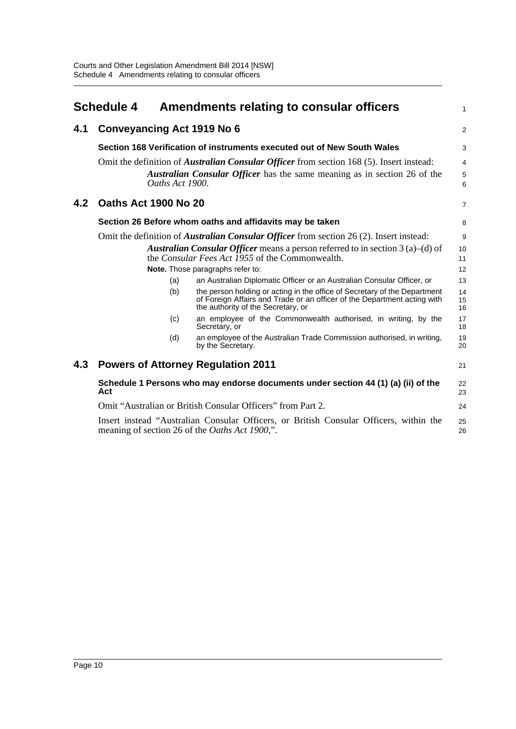<span id="page-13-0"></span>

|     | <b>Schedule 4</b>    |                 | Amendments relating to consular officers                                                                                                                                                    | $\mathbf{1}$                       |
|-----|----------------------|-----------------|---------------------------------------------------------------------------------------------------------------------------------------------------------------------------------------------|------------------------------------|
| 4.1 |                      |                 | <b>Conveyancing Act 1919 No 6</b>                                                                                                                                                           | 2                                  |
|     |                      |                 | Section 168 Verification of instruments executed out of New South Wales                                                                                                                     | 3                                  |
|     |                      | Oaths Act 1900. | Omit the definition of <i>Australian Consular Officer</i> from section 168 (5). Insert instead:<br><b>Australian Consular Officer</b> has the same meaning as in section 26 of the          | $\overline{4}$<br>$\mathbf 5$<br>6 |
| 4.2 | Oaths Act 1900 No 20 |                 |                                                                                                                                                                                             | $\overline{7}$                     |
|     |                      |                 | Section 26 Before whom oaths and affidavits may be taken                                                                                                                                    | 8                                  |
|     |                      |                 | Omit the definition of <i>Australian Consular Officer</i> from section 26 (2). Insert instead:                                                                                              | 9                                  |
|     |                      |                 | <b>Australian Consular Officer</b> means a person referred to in section $3$ (a)–(d) of<br>the <i>Consular Fees Act 1955</i> of the Commonwealth.                                           | 10<br>11                           |
|     |                      |                 | Note. Those paragraphs refer to:                                                                                                                                                            | 12                                 |
|     |                      | (a)             | an Australian Diplomatic Officer or an Australian Consular Officer, or                                                                                                                      | 13                                 |
|     |                      | (b)             | the person holding or acting in the office of Secretary of the Department<br>of Foreign Affairs and Trade or an officer of the Department acting with<br>the authority of the Secretary, or | 14<br>15<br>16                     |
|     |                      | (c)             | an employee of the Commonwealth authorised, in writing, by the<br>Secretary, or                                                                                                             | 17<br>18                           |
|     |                      | (d)             | an employee of the Australian Trade Commission authorised, in writing,<br>by the Secretary.                                                                                                 | 19<br>20                           |
| 4.3 |                      |                 | <b>Powers of Attorney Regulation 2011</b>                                                                                                                                                   | 21                                 |
|     | Act                  |                 | Schedule 1 Persons who may endorse documents under section 44 (1) (a) (ii) of the                                                                                                           | 22<br>23                           |
|     |                      |                 | Omit "Australian or British Consular Officers" from Part 2.                                                                                                                                 | 24                                 |
|     |                      |                 | Insert instead "Australian Consular Officers, or British Consular Officers, within the<br>meaning of section 26 of the <i>Oaths Act 1900</i> ,".                                            | 25<br>26                           |